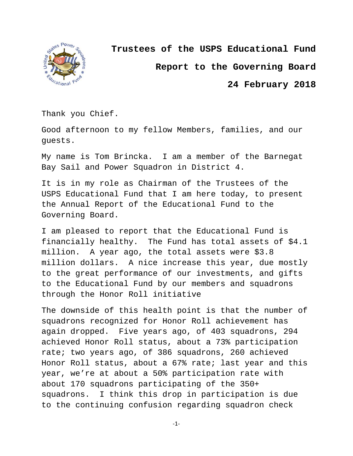

**Trustees of the USPS Educational Fund**

**Report to the Governing Board**

**24 February 2018**

Thank you Chief.

Good afternoon to my fellow Members, families, and our guests.

My name is Tom Brincka. I am a member of the Barnegat Bay Sail and Power Squadron in District 4.

It is in my role as Chairman of the Trustees of the USPS Educational Fund that I am here today, to present the Annual Report of the Educational Fund to the Governing Board.

I am pleased to report that the Educational Fund is financially healthy. The Fund has total assets of \$4.1 million. A year ago, the total assets were \$3.8 million dollars. A nice increase this year, due mostly to the great performance of our investments, and gifts to the Educational Fund by our members and squadrons through the Honor Roll initiative

The downside of this health point is that the number of squadrons recognized for Honor Roll achievement has again dropped. Five years ago, of 403 squadrons, 294 achieved Honor Roll status, about a 73% participation rate; two years ago, of 386 squadrons, 260 achieved Honor Roll status, about a 67% rate; last year and this year, we're at about a 50% participation rate with about 170 squadrons participating of the 350+ squadrons. I think this drop in participation is due to the continuing confusion regarding squadron check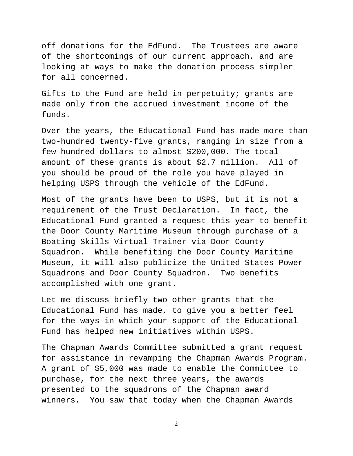off donations for the EdFund. The Trustees are aware of the shortcomings of our current approach, and are looking at ways to make the donation process simpler for all concerned.

Gifts to the Fund are held in perpetuity; grants are made only from the accrued investment income of the funds.

Over the years, the Educational Fund has made more than two-hundred twenty-five grants, ranging in size from a few hundred dollars to almost \$200,000. The total amount of these grants is about \$2.7 million. All of you should be proud of the role you have played in helping USPS through the vehicle of the EdFund.

Most of the grants have been to USPS, but it is not a requirement of the Trust Declaration. In fact, the Educational Fund granted a request this year to benefit the Door County Maritime Museum through purchase of a Boating Skills Virtual Trainer via Door County Squadron. While benefiting the Door County Maritime Museum, it will also publicize the United States Power Squadrons and Door County Squadron. Two benefits accomplished with one grant.

Let me discuss briefly two other grants that the Educational Fund has made, to give you a better feel for the ways in which your support of the Educational Fund has helped new initiatives within USPS.

The Chapman Awards Committee submitted a grant request for assistance in revamping the Chapman Awards Program. A grant of \$5,000 was made to enable the Committee to purchase, for the next three years, the awards presented to the squadrons of the Chapman award winners. You saw that today when the Chapman Awards